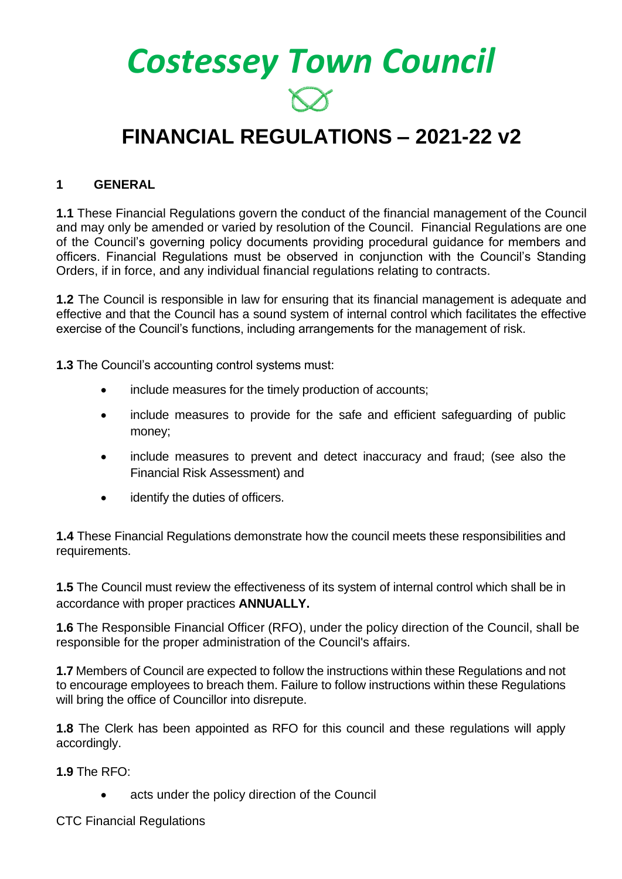*Costessey Town Council*

# **FINANCIAL REGULATIONS – 2021-22 v2**

#### **1 GENERAL**

**1.1** These Financial Regulations govern the conduct of the financial management of the Council and may only be amended or varied by resolution of the Council. Financial Regulations are one of the Council's governing policy documents providing procedural guidance for members and officers. Financial Regulations must be observed in conjunction with the Council's Standing Orders, if in force, and any individual financial regulations relating to contracts.

**1.2** The Council is responsible in law for ensuring that its financial management is adequate and effective and that the Council has a sound system of internal control which facilitates the effective exercise of the Council's functions, including arrangements for the management of risk.

**1.3** The Council's accounting control systems must:

- include measures for the timely production of accounts;
- include measures to provide for the safe and efficient safeguarding of public money;
- include measures to prevent and detect inaccuracy and fraud; (see also the Financial Risk Assessment) and
- identify the duties of officers.

**1.4** These Financial Regulations demonstrate how the council meets these responsibilities and requirements.

**1.5** The Council must review the effectiveness of its system of internal control which shall be in accordance with proper practices **ANNUALLY.**

**1.6** The Responsible Financial Officer (RFO), under the policy direction of the Council, shall be responsible for the proper administration of the Council's affairs.

**1.7** Members of Council are expected to follow the instructions within these Regulations and not to encourage employees to breach them. Failure to follow instructions within these Regulations will bring the office of Councillor into disrepute.

**1.8** The Clerk has been appointed as RFO for this council and these regulations will apply accordingly.

**1.9** The RFO:

acts under the policy direction of the Council

CTC Financial Regulations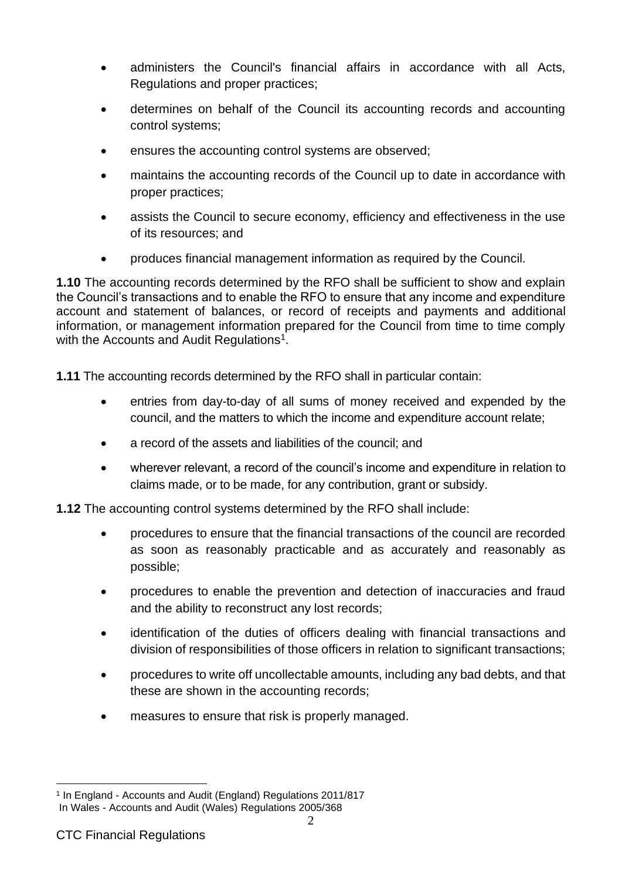- administers the Council's financial affairs in accordance with all Acts, Regulations and proper practices;
- determines on behalf of the Council its accounting records and accounting control systems;
- ensures the accounting control systems are observed;
- maintains the accounting records of the Council up to date in accordance with proper practices;
- assists the Council to secure economy, efficiency and effectiveness in the use of its resources; and
- produces financial management information as required by the Council.

**1.10** The accounting records determined by the RFO shall be sufficient to show and explain the Council's transactions and to enable the RFO to ensure that any income and expenditure account and statement of balances, or record of receipts and payments and additional information, or management information prepared for the Council from time to time comply with the Accounts and Audit Regulations<sup>1</sup>.

**1.11** The accounting records determined by the RFO shall in particular contain:

- entries from day-to-day of all sums of money received and expended by the council, and the matters to which the income and expenditure account relate;
- a record of the assets and liabilities of the council; and
- wherever relevant, a record of the council's income and expenditure in relation to claims made, or to be made, for any contribution, grant or subsidy.

**1.12** The accounting control systems determined by the RFO shall include:

- procedures to ensure that the financial transactions of the council are recorded as soon as reasonably practicable and as accurately and reasonably as possible;
- procedures to enable the prevention and detection of inaccuracies and fraud and the ability to reconstruct any lost records;
- identification of the duties of officers dealing with financial transactions and division of responsibilities of those officers in relation to significant transactions;
- procedures to write off uncollectable amounts, including any bad debts, and that these are shown in the accounting records;
- measures to ensure that risk is properly managed.

<sup>1</sup> In England - Accounts and Audit (England) Regulations 2011/817 In Wales - Accounts and Audit (Wales) Regulations 2005/368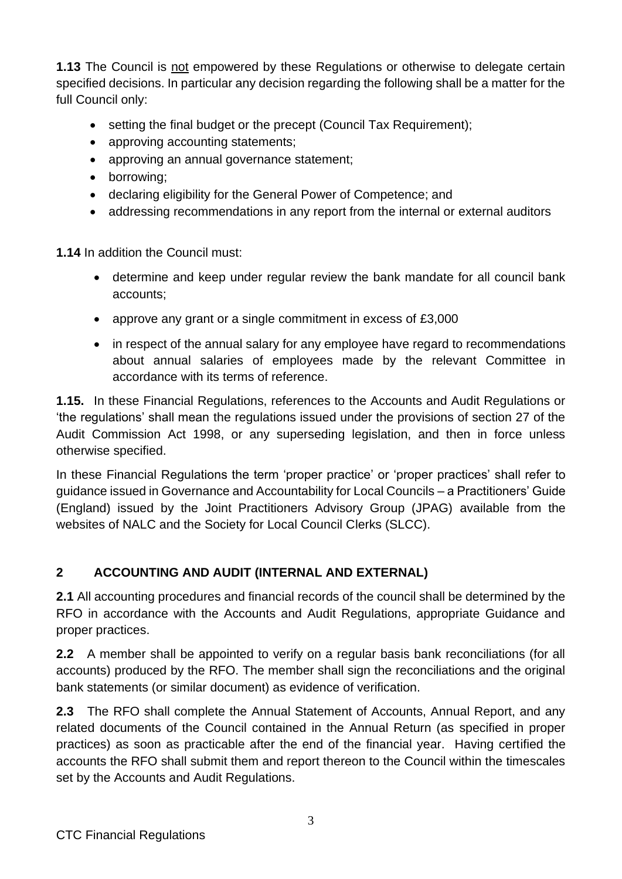**1.13** The Council is not empowered by these Regulations or otherwise to delegate certain specified decisions. In particular any decision regarding the following shall be a matter for the full Council only:

- setting the final budget or the precept (Council Tax Requirement);
- approving accounting statements;
- approving an annual governance statement;
- borrowing;
- declaring eligibility for the General Power of Competence; and
- addressing recommendations in any report from the internal or external auditors

**1.14** In addition the Council must:

- determine and keep under regular review the bank mandate for all council bank accounts;
- approve any grant or a single commitment in excess of £3,000
- in respect of the annual salary for any employee have regard to recommendations about annual salaries of employees made by the relevant Committee in accordance with its terms of reference.

**1.15.** In these Financial Regulations, references to the Accounts and Audit Regulations or 'the regulations' shall mean the regulations issued under the provisions of section 27 of the Audit Commission Act 1998, or any superseding legislation, and then in force unless otherwise specified.

In these Financial Regulations the term 'proper practice' or 'proper practices' shall refer to guidance issued in Governance and Accountability for Local Councils – a Practitioners' Guide (England) issued by the Joint Practitioners Advisory Group (JPAG) available from the websites of NALC and the Society for Local Council Clerks (SLCC).

# **2 ACCOUNTING AND AUDIT (INTERNAL AND EXTERNAL)**

**2.1** All accounting procedures and financial records of the council shall be determined by the RFO in accordance with the Accounts and Audit Regulations, appropriate Guidance and proper practices.

**2.2** A member shall be appointed to verify on a regular basis bank reconciliations (for all accounts) produced by the RFO. The member shall sign the reconciliations and the original bank statements (or similar document) as evidence of verification.

**2.3** The RFO shall complete the Annual Statement of Accounts, Annual Report, and any related documents of the Council contained in the Annual Return (as specified in proper practices) as soon as practicable after the end of the financial year. Having certified the accounts the RFO shall submit them and report thereon to the Council within the timescales set by the Accounts and Audit Regulations.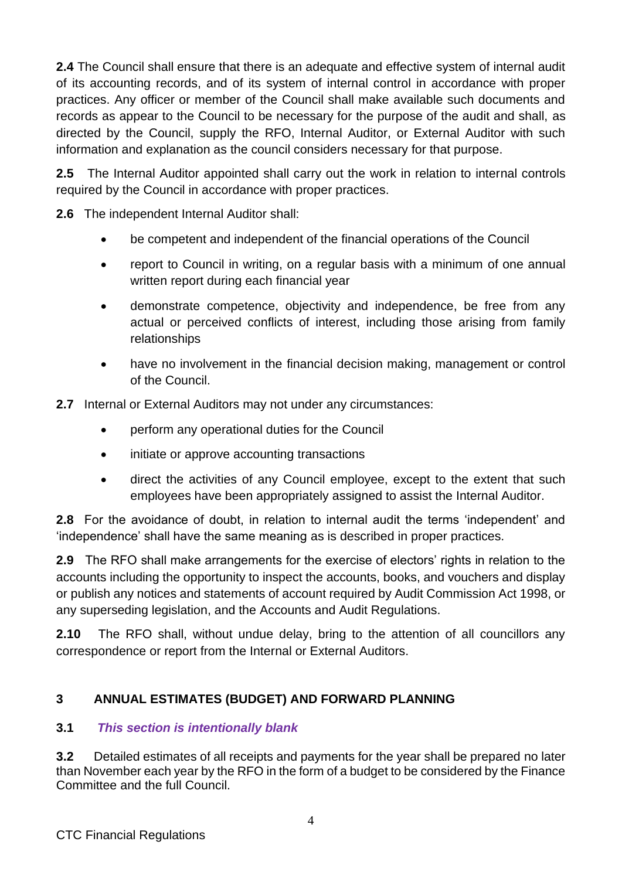**2.4** The Council shall ensure that there is an adequate and effective system of internal audit of its accounting records, and of its system of internal control in accordance with proper practices. Any officer or member of the Council shall make available such documents and records as appear to the Council to be necessary for the purpose of the audit and shall, as directed by the Council, supply the RFO, Internal Auditor, or External Auditor with such information and explanation as the council considers necessary for that purpose.

**2.5** The Internal Auditor appointed shall carry out the work in relation to internal controls required by the Council in accordance with proper practices.

**2.6** The independent Internal Auditor shall:

- be competent and independent of the financial operations of the Council
- report to Council in writing, on a regular basis with a minimum of one annual written report during each financial year
- demonstrate competence, objectivity and independence, be free from any actual or perceived conflicts of interest, including those arising from family relationships
- have no involvement in the financial decision making, management or control of the Council.
- **2.7** Internal or External Auditors may not under any circumstances:
	- perform any operational duties for the Council
	- initiate or approve accounting transactions
	- direct the activities of any Council employee, except to the extent that such employees have been appropriately assigned to assist the Internal Auditor.

**2.8** For the avoidance of doubt, in relation to internal audit the terms 'independent' and 'independence' shall have the same meaning as is described in proper practices.

**2.9** The RFO shall make arrangements for the exercise of electors' rights in relation to the accounts including the opportunity to inspect the accounts, books, and vouchers and display or publish any notices and statements of account required by Audit Commission Act 1998, or any superseding legislation, and the Accounts and Audit Regulations.

**2.10** The RFO shall, without undue delay, bring to the attention of all councillors any correspondence or report from the Internal or External Auditors.

## **3 ANNUAL ESTIMATES (BUDGET) AND FORWARD PLANNING**

## **3.1** *This section is intentionally blank*

**3.2** Detailed estimates of all receipts and payments for the year shall be prepared no later than November each year by the RFO in the form of a budget to be considered by the Finance Committee and the full Council.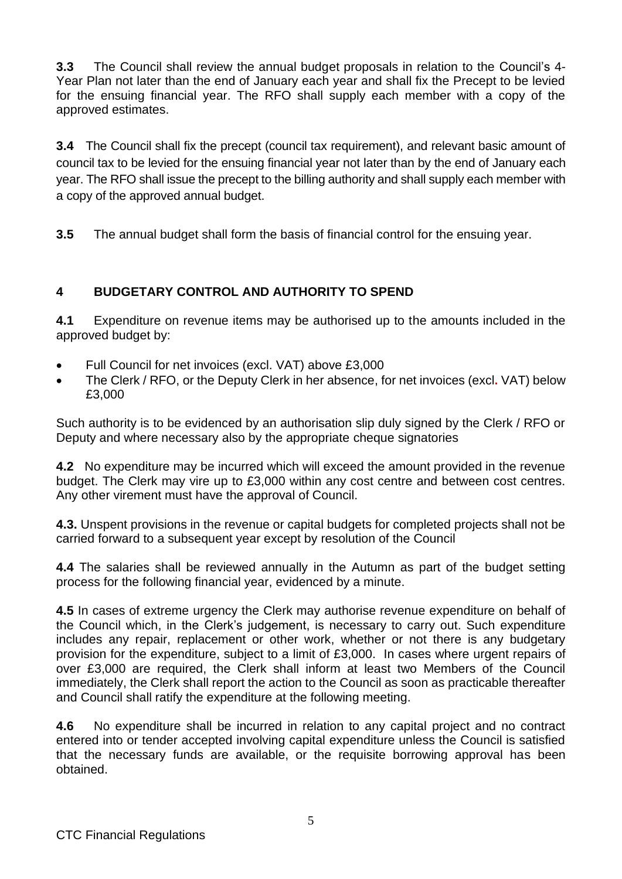**3.3** The Council shall review the annual budget proposals in relation to the Council's 4- Year Plan not later than the end of January each year and shall fix the Precept to be levied for the ensuing financial year. The RFO shall supply each member with a copy of the approved estimates.

**3.4** The Council shall fix the precept (council tax requirement), and relevant basic amount of council tax to be levied for the ensuing financial year not later than by the end of January each year. The RFO shall issue the precept to the billing authority and shall supply each member with a copy of the approved annual budget.

**3.5** The annual budget shall form the basis of financial control for the ensuing year.

## **4 BUDGETARY CONTROL AND AUTHORITY TO SPEND**

**4.1** Expenditure on revenue items may be authorised up to the amounts included in the approved budget by:

- Full Council for net invoices (excl. VAT) above £3,000
- The Clerk / RFO, or the Deputy Clerk in her absence, for net invoices (excl**.** VAT) below £3,000

Such authority is to be evidenced by an authorisation slip duly signed by the Clerk / RFO or Deputy and where necessary also by the appropriate cheque signatories

**4.2** No expenditure may be incurred which will exceed the amount provided in the revenue budget. The Clerk may vire up to £3,000 within any cost centre and between cost centres. Any other virement must have the approval of Council.

**4.3.** Unspent provisions in the revenue or capital budgets for completed projects shall not be carried forward to a subsequent year except by resolution of the Council

**4.4** The salaries shall be reviewed annually in the Autumn as part of the budget setting process for the following financial year, evidenced by a minute.

**4.5** In cases of extreme urgency the Clerk may authorise revenue expenditure on behalf of the Council which, in the Clerk's judgement, is necessary to carry out. Such expenditure includes any repair, replacement or other work, whether or not there is any budgetary provision for the expenditure, subject to a limit of £3,000. In cases where urgent repairs of over £3,000 are required, the Clerk shall inform at least two Members of the Council immediately, the Clerk shall report the action to the Council as soon as practicable thereafter and Council shall ratify the expenditure at the following meeting.

**4.6** No expenditure shall be incurred in relation to any capital project and no contract entered into or tender accepted involving capital expenditure unless the Council is satisfied that the necessary funds are available, or the requisite borrowing approval has been obtained.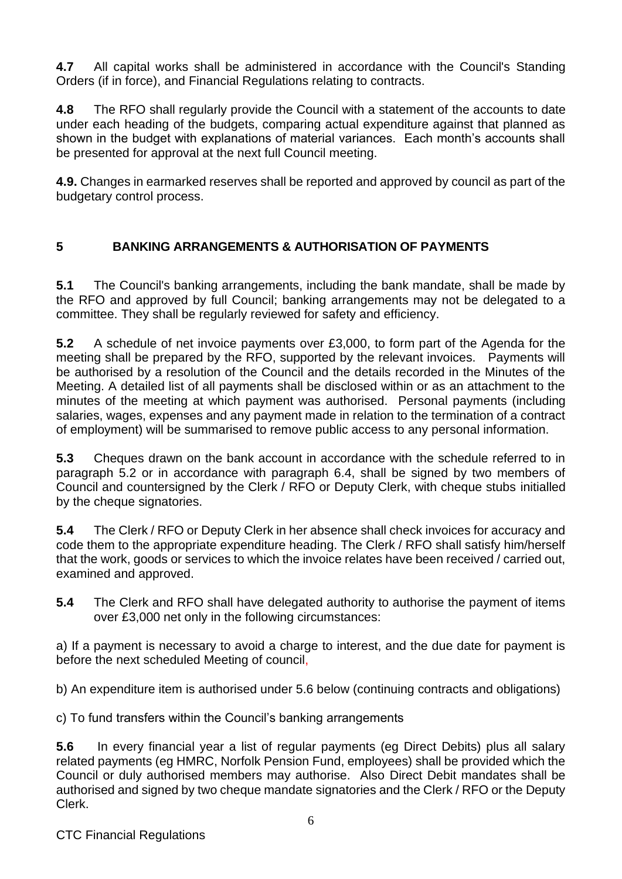**4.7** All capital works shall be administered in accordance with the Council's Standing Orders (if in force), and Financial Regulations relating to contracts.

**4.8** The RFO shall regularly provide the Council with a statement of the accounts to date under each heading of the budgets, comparing actual expenditure against that planned as shown in the budget with explanations of material variances. Each month's accounts shall be presented for approval at the next full Council meeting.

**4.9.** Changes in earmarked reserves shall be reported and approved by council as part of the budgetary control process.

# **5 BANKING ARRANGEMENTS & AUTHORISATION OF PAYMENTS**

**5.1** The Council's banking arrangements, including the bank mandate, shall be made by the RFO and approved by full Council; banking arrangements may not be delegated to a committee. They shall be regularly reviewed for safety and efficiency.

**5.2** A schedule of net invoice payments over £3,000, to form part of the Agenda for the meeting shall be prepared by the RFO, supported by the relevant invoices. Payments will be authorised by a resolution of the Council and the details recorded in the Minutes of the Meeting. A detailed list of all payments shall be disclosed within or as an attachment to the minutes of the meeting at which payment was authorised. Personal payments (including salaries, wages, expenses and any payment made in relation to the termination of a contract of employment) will be summarised to remove public access to any personal information.

**5.3** Cheques drawn on the bank account in accordance with the schedule referred to in paragraph 5.2 or in accordance with paragraph 6.4, shall be signed by two members of Council and countersigned by the Clerk / RFO or Deputy Clerk, with cheque stubs initialled by the cheque signatories.

**5.4** The Clerk / RFO or Deputy Clerk in her absence shall check invoices for accuracy and code them to the appropriate expenditure heading. The Clerk / RFO shall satisfy him/herself that the work, goods or services to which the invoice relates have been received / carried out, examined and approved.

**5.4** The Clerk and RFO shall have delegated authority to authorise the payment of items over £3,000 net only in the following circumstances:

a) If a payment is necessary to avoid a charge to interest, and the due date for payment is before the next scheduled Meeting of council,

b) An expenditure item is authorised under 5.6 below (continuing contracts and obligations)

c) To fund transfers within the Council's banking arrangements

**5.6** In every financial year a list of regular payments (eg Direct Debits) plus all salary related payments (eg HMRC, Norfolk Pension Fund, employees) shall be provided which the Council or duly authorised members may authorise. Also Direct Debit mandates shall be authorised and signed by two cheque mandate signatories and the Clerk / RFO or the Deputy Clerk.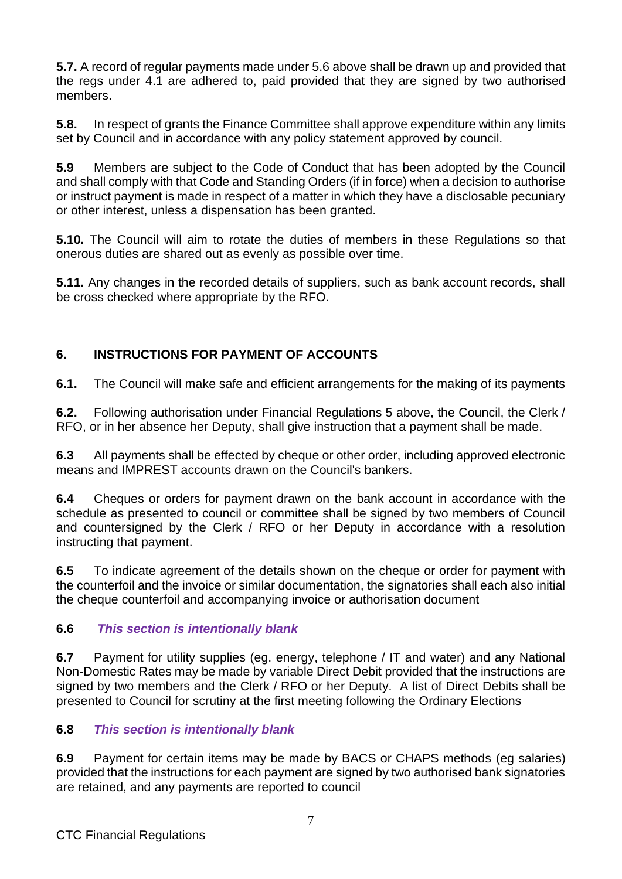**5.7.** A record of regular payments made under 5.6 above shall be drawn up and provided that the regs under 4.1 are adhered to, paid provided that they are signed by two authorised members.

**5.8.** In respect of grants the Finance Committee shall approve expenditure within any limits set by Council and in accordance with any policy statement approved by council.

**5.9** Members are subject to the Code of Conduct that has been adopted by the Council and shall comply with that Code and Standing Orders (if in force) when a decision to authorise or instruct payment is made in respect of a matter in which they have a disclosable pecuniary or other interest, unless a dispensation has been granted.

**5.10.** The Council will aim to rotate the duties of members in these Regulations so that onerous duties are shared out as evenly as possible over time.

**5.11.** Any changes in the recorded details of suppliers, such as bank account records, shall be cross checked where appropriate by the RFO.

# **6. INSTRUCTIONS FOR PAYMENT OF ACCOUNTS**

**6.1.** The Council will make safe and efficient arrangements for the making of its payments

**6.2.** Following authorisation under Financial Regulations 5 above, the Council, the Clerk / RFO, or in her absence her Deputy, shall give instruction that a payment shall be made.

**6.3** All payments shall be effected by cheque or other order, including approved electronic means and IMPREST accounts drawn on the Council's bankers.

**6.4** Cheques or orders for payment drawn on the bank account in accordance with the schedule as presented to council or committee shall be signed by two members of Council and countersigned by the Clerk / RFO or her Deputy in accordance with a resolution instructing that payment.

**6.5** To indicate agreement of the details shown on the cheque or order for payment with the counterfoil and the invoice or similar documentation, the signatories shall each also initial the cheque counterfoil and accompanying invoice or authorisation document

## **6.6** *This section is intentionally blank*

**6.7** Payment for utility supplies (eg. energy, telephone / IT and water) and any National Non-Domestic Rates may be made by variable Direct Debit provided that the instructions are signed by two members and the Clerk / RFO or her Deputy. A list of Direct Debits shall be presented to Council for scrutiny at the first meeting following the Ordinary Elections

## **6.8** *This section is intentionally blank*

**6.9** Payment for certain items may be made by BACS or CHAPS methods (eg salaries) provided that the instructions for each payment are signed by two authorised bank signatories are retained, and any payments are reported to council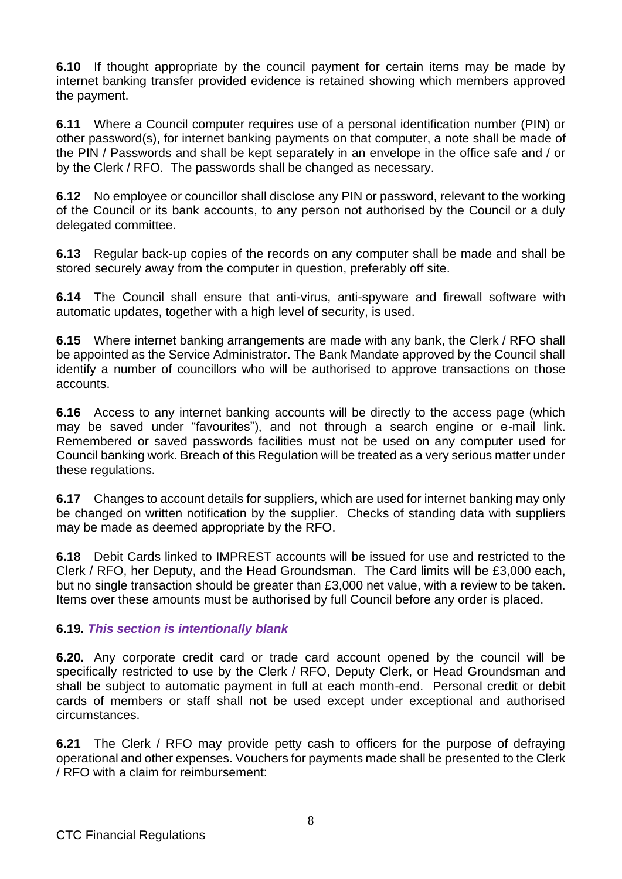**6.10** If thought appropriate by the council payment for certain items may be made by internet banking transfer provided evidence is retained showing which members approved the payment.

**6.11** Where a Council computer requires use of a personal identification number (PIN) or other password(s), for internet banking payments on that computer, a note shall be made of the PIN / Passwords and shall be kept separately in an envelope in the office safe and / or by the Clerk / RFO. The passwords shall be changed as necessary.

**6.12** No employee or councillor shall disclose any PIN or password, relevant to the working of the Council or its bank accounts, to any person not authorised by the Council or a duly delegated committee.

**6.13** Regular back-up copies of the records on any computer shall be made and shall be stored securely away from the computer in question, preferably off site.

**6.14** The Council shall ensure that anti-virus, anti-spyware and firewall software with automatic updates, together with a high level of security, is used.

**6.15** Where internet banking arrangements are made with any bank, the Clerk / RFO shall be appointed as the Service Administrator. The Bank Mandate approved by the Council shall identify a number of councillors who will be authorised to approve transactions on those accounts.

**6.16** Access to any internet banking accounts will be directly to the access page (which may be saved under "favourites"), and not through a search engine or e-mail link. Remembered or saved passwords facilities must not be used on any computer used for Council banking work. Breach of this Regulation will be treated as a very serious matter under these regulations.

**6.17** Changes to account details for suppliers, which are used for internet banking may only be changed on written notification by the supplier. Checks of standing data with suppliers may be made as deemed appropriate by the RFO.

**6.18** Debit Cards linked to IMPREST accounts will be issued for use and restricted to the Clerk / RFO, her Deputy, and the Head Groundsman. The Card limits will be £3,000 each, but no single transaction should be greater than £3,000 net value, with a review to be taken. Items over these amounts must be authorised by full Council before any order is placed.

## **6.19.** *This section is intentionally blank*

**6.20.** Any corporate credit card or trade card account opened by the council will be specifically restricted to use by the Clerk / RFO, Deputy Clerk, or Head Groundsman and shall be subject to automatic payment in full at each month-end. Personal credit or debit cards of members or staff shall not be used except under exceptional and authorised circumstances.

**6.21** The Clerk / RFO may provide petty cash to officers for the purpose of defraying operational and other expenses. Vouchers for payments made shall be presented to the Clerk / RFO with a claim for reimbursement: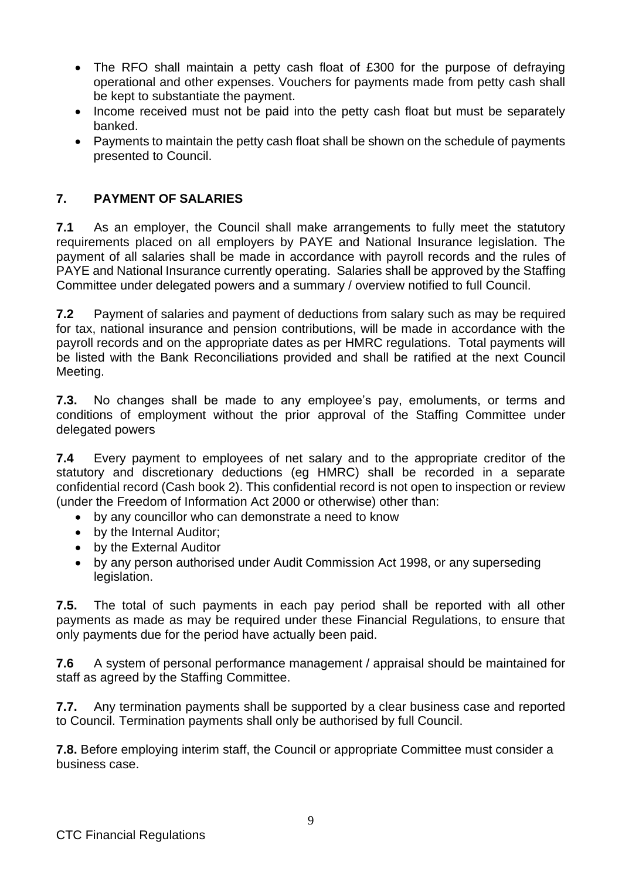- The RFO shall maintain a petty cash float of £300 for the purpose of defraying operational and other expenses. Vouchers for payments made from petty cash shall be kept to substantiate the payment.
- Income received must not be paid into the petty cash float but must be separately banked.
- Payments to maintain the petty cash float shall be shown on the schedule of payments presented to Council.

## **7. PAYMENT OF SALARIES**

**7.1** As an employer, the Council shall make arrangements to fully meet the statutory requirements placed on all employers by PAYE and National Insurance legislation. The payment of all salaries shall be made in accordance with payroll records and the rules of PAYE and National Insurance currently operating. Salaries shall be approved by the Staffing Committee under delegated powers and a summary / overview notified to full Council.

**7.2** Payment of salaries and payment of deductions from salary such as may be required for tax, national insurance and pension contributions, will be made in accordance with the payroll records and on the appropriate dates as per HMRC regulations. Total payments will be listed with the Bank Reconciliations provided and shall be ratified at the next Council Meeting.

**7.3.** No changes shall be made to any employee's pay, emoluments, or terms and conditions of employment without the prior approval of the Staffing Committee under delegated powers

**7.4** Every payment to employees of net salary and to the appropriate creditor of the statutory and discretionary deductions (eg HMRC) shall be recorded in a separate confidential record (Cash book 2). This confidential record is not open to inspection or review (under the Freedom of Information Act 2000 or otherwise) other than:

- by any councillor who can demonstrate a need to know
- by the Internal Auditor;
- by the External Auditor
- by any person authorised under Audit Commission Act 1998, or any superseding legislation.

**7.5.** The total of such payments in each pay period shall be reported with all other payments as made as may be required under these Financial Regulations, to ensure that only payments due for the period have actually been paid.

**7.6** A system of personal performance management / appraisal should be maintained for staff as agreed by the Staffing Committee.

**7.7.** Any termination payments shall be supported by a clear business case and reported to Council. Termination payments shall only be authorised by full Council.

**7.8.** Before employing interim staff, the Council or appropriate Committee must consider a business case.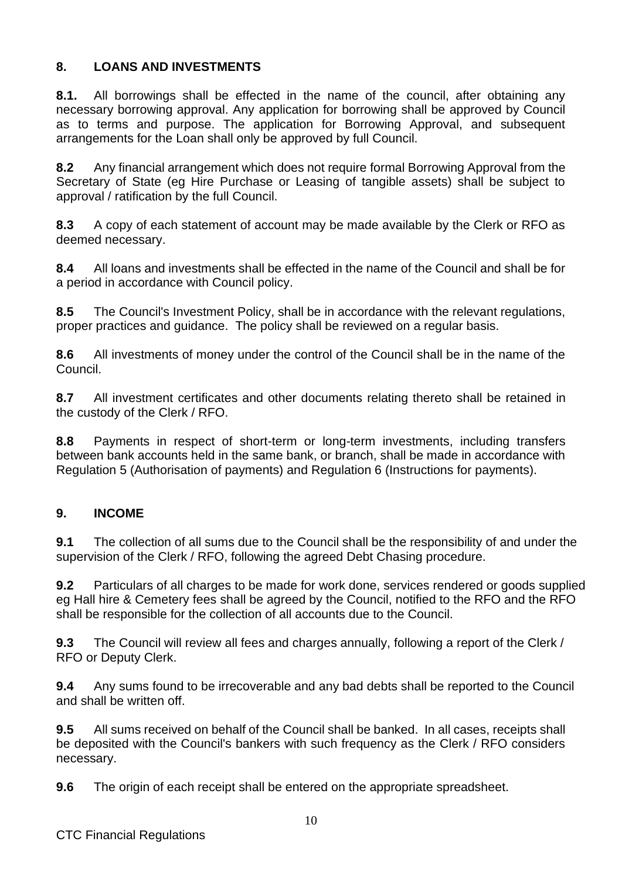## **8. LOANS AND INVESTMENTS**

**8.1.** All borrowings shall be effected in the name of the council, after obtaining any necessary borrowing approval. Any application for borrowing shall be approved by Council as to terms and purpose. The application for Borrowing Approval, and subsequent arrangements for the Loan shall only be approved by full Council.

**8.2** Any financial arrangement which does not require formal Borrowing Approval from the Secretary of State (eg Hire Purchase or Leasing of tangible assets) shall be subject to approval / ratification by the full Council.

**8.3** A copy of each statement of account may be made available by the Clerk or RFO as deemed necessary.

**8.4** All loans and investments shall be effected in the name of the Council and shall be for a period in accordance with Council policy.

**8.5** The Council's Investment Policy, shall be in accordance with the relevant regulations, proper practices and guidance. The policy shall be reviewed on a regular basis.

**8.6** All investments of money under the control of the Council shall be in the name of the Council.

**8.7** All investment certificates and other documents relating thereto shall be retained in the custody of the Clerk / RFO.

**8.8** Payments in respect of short-term or long-term investments, including transfers between bank accounts held in the same bank, or branch, shall be made in accordance with Regulation 5 (Authorisation of payments) and Regulation 6 (Instructions for payments).

#### **9. INCOME**

**9.1** The collection of all sums due to the Council shall be the responsibility of and under the supervision of the Clerk / RFO, following the agreed Debt Chasing procedure.

**9.2** Particulars of all charges to be made for work done, services rendered or goods supplied eg Hall hire & Cemetery fees shall be agreed by the Council, notified to the RFO and the RFO shall be responsible for the collection of all accounts due to the Council.

**9.3** The Council will review all fees and charges annually, following a report of the Clerk / RFO or Deputy Clerk.

**9.4** Any sums found to be irrecoverable and any bad debts shall be reported to the Council and shall be written off.

**9.5** All sums received on behalf of the Council shall be banked. In all cases, receipts shall be deposited with the Council's bankers with such frequency as the Clerk / RFO considers necessary.

**9.6** The origin of each receipt shall be entered on the appropriate spreadsheet.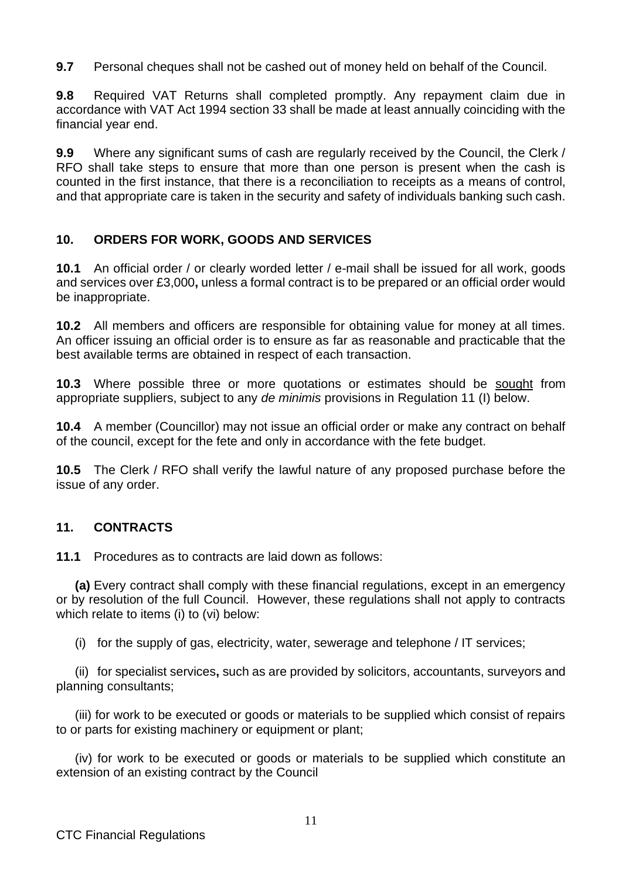**9.7** Personal cheques shall not be cashed out of money held on behalf of the Council.

**9.8** Required VAT Returns shall completed promptly. Any repayment claim due in accordance with VAT Act 1994 section 33 shall be made at least annually coinciding with the financial year end.

**9.9** Where any significant sums of cash are regularly received by the Council, the Clerk / RFO shall take steps to ensure that more than one person is present when the cash is counted in the first instance, that there is a reconciliation to receipts as a means of control, and that appropriate care is taken in the security and safety of individuals banking such cash.

## **10. ORDERS FOR WORK, GOODS AND SERVICES**

**10.1** An official order / or clearly worded letter / e-mail shall be issued for all work, goods and services over £3,000**,** unless a formal contract is to be prepared or an official order would be inappropriate.

**10.2** All members and officers are responsible for obtaining value for money at all times. An officer issuing an official order is to ensure as far as reasonable and practicable that the best available terms are obtained in respect of each transaction.

**10.3** Where possible three or more quotations or estimates should be sought from appropriate suppliers, subject to any *de minimis* provisions in Regulation 11 (I) below.

**10.4** A member (Councillor) may not issue an official order or make any contract on behalf of the council, except for the fete and only in accordance with the fete budget.

**10.5** The Clerk / RFO shall verify the lawful nature of any proposed purchase before the issue of any order.

#### **11. CONTRACTS**

**11.1** Procedures as to contracts are laid down as follows:

**(a)** Every contract shall comply with these financial regulations, except in an emergency or by resolution of the full Council. However, these regulations shall not apply to contracts which relate to items (i) to (vi) below:

(i) for the supply of gas, electricity, water, sewerage and telephone / IT services;

(ii) for specialist services**,** such as are provided by solicitors, accountants, surveyors and planning consultants;

(iii) for work to be executed or goods or materials to be supplied which consist of repairs to or parts for existing machinery or equipment or plant;

(iv) for work to be executed or goods or materials to be supplied which constitute an extension of an existing contract by the Council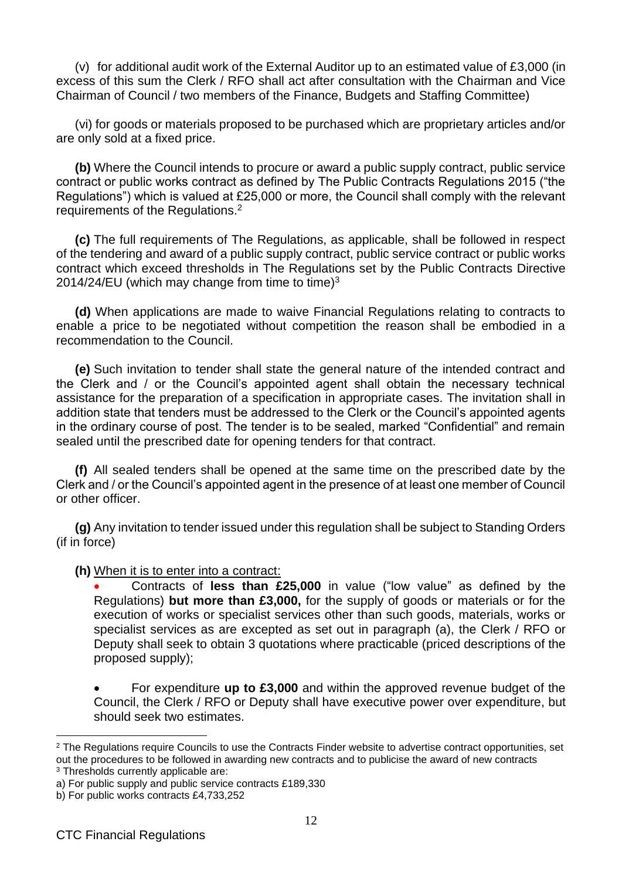(v) for additional audit work of the External Auditor up to an estimated value of £3,000 (in excess of this sum the Clerk / RFO shall act after consultation with the Chairman and Vice Chairman of Council / two members of the Finance, Budgets and Staffing Committee)

(vi) for goods or materials proposed to be purchased which are proprietary articles and/or are only sold at a fixed price.

**(b)** Where the Council intends to procure or award a public supply contract, public service contract or public works contract as defined by The Public Contracts Regulations 2015 ("the Regulations") which is valued at £25,000 or more, the Council shall comply with the relevant requirements of the Regulations.<sup>2</sup>

**(c)** The full requirements of The Regulations, as applicable, shall be followed in respect of the tendering and award of a public supply contract, public service contract or public works contract which exceed thresholds in The Regulations set by the Public Contracts Directive 2014/24/EU (which may change from time to time) $3$ 

**(d)** When applications are made to waive Financial Regulations relating to contracts to enable a price to be negotiated without competition the reason shall be embodied in a recommendation to the Council.

**(e)** Such invitation to tender shall state the general nature of the intended contract and the Clerk and / or the Council's appointed agent shall obtain the necessary technical assistance for the preparation of a specification in appropriate cases. The invitation shall in addition state that tenders must be addressed to the Clerk or the Council's appointed agents in the ordinary course of post. The tender is to be sealed, marked "Confidential" and remain sealed until the prescribed date for opening tenders for that contract.

**(f)** All sealed tenders shall be opened at the same time on the prescribed date by the Clerk and / or the Council's appointed agent in the presence of at least one member of Council or other officer.

**(g)** Any invitation to tender issued under this regulation shall be subject to Standing Orders (if in force)

#### **(h)** When it is to enter into a contract:

• Contracts of **less than £25,000** in value ("low value" as defined by the Regulations) **but more than £3,000,** for the supply of goods or materials or for the execution of works or specialist services other than such goods, materials, works or specialist services as are excepted as set out in paragraph (a), the Clerk / RFO or Deputy shall seek to obtain 3 quotations where practicable (priced descriptions of the proposed supply);

• For expenditure **up to £3,000** and within the approved revenue budget of the Council, the Clerk / RFO or Deputy shall have executive power over expenditure, but should seek two estimates.

<sup>&</sup>lt;sup>2</sup> The Regulations require Councils to use the Contracts Finder website to advertise contract opportunities, set out the procedures to be followed in awarding new contracts and to publicise the award of new contracts <sup>3</sup> Thresholds currently applicable are:

a) For public supply and public service contracts £189,330

b) For public works contracts £4,733,252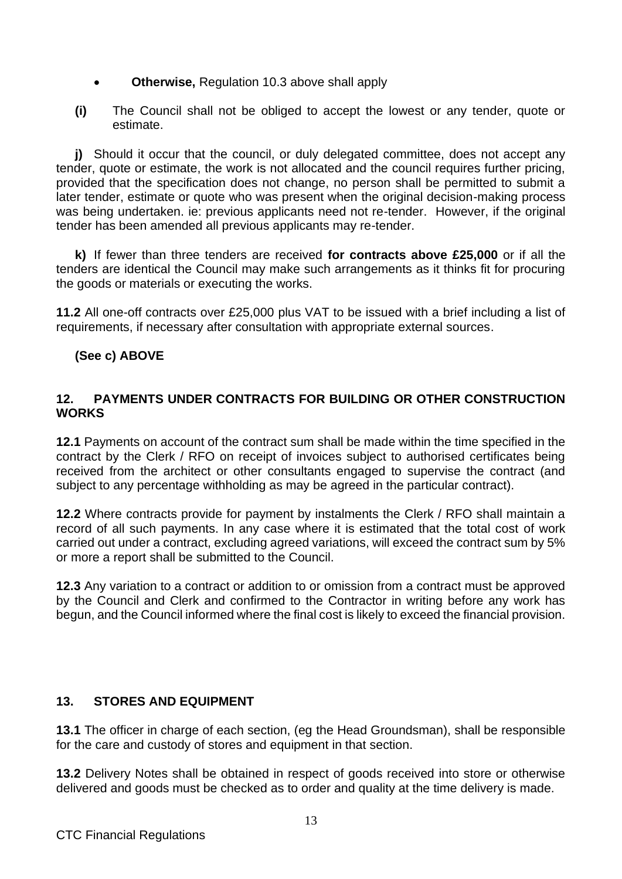- **Otherwise,** Regulation 10.3 above shall apply
- **(i)** The Council shall not be obliged to accept the lowest or any tender, quote or estimate.

**j)** Should it occur that the council, or duly delegated committee, does not accept any tender, quote or estimate, the work is not allocated and the council requires further pricing, provided that the specification does not change, no person shall be permitted to submit a later tender, estimate or quote who was present when the original decision-making process was being undertaken. ie: previous applicants need not re-tender. However, if the original tender has been amended all previous applicants may re-tender.

**k)** If fewer than three tenders are received **for contracts above £25,000** or if all the tenders are identical the Council may make such arrangements as it thinks fit for procuring the goods or materials or executing the works.

**11.2** All one-off contracts over £25,000 plus VAT to be issued with a brief including a list of requirements, if necessary after consultation with appropriate external sources.

## **(See c) ABOVE**

#### **12. PAYMENTS UNDER CONTRACTS FOR BUILDING OR OTHER CONSTRUCTION WORKS**

**12.1** Payments on account of the contract sum shall be made within the time specified in the contract by the Clerk / RFO on receipt of invoices subject to authorised certificates being received from the architect or other consultants engaged to supervise the contract (and subject to any percentage withholding as may be agreed in the particular contract).

**12.2** Where contracts provide for payment by instalments the Clerk / RFO shall maintain a record of all such payments. In any case where it is estimated that the total cost of work carried out under a contract, excluding agreed variations, will exceed the contract sum by 5% or more a report shall be submitted to the Council.

**12.3** Any variation to a contract or addition to or omission from a contract must be approved by the Council and Clerk and confirmed to the Contractor in writing before any work has begun, and the Council informed where the final cost is likely to exceed the financial provision.

#### **13. STORES AND EQUIPMENT**

**13.1** The officer in charge of each section, (eg the Head Groundsman), shall be responsible for the care and custody of stores and equipment in that section.

**13.2** Delivery Notes shall be obtained in respect of goods received into store or otherwise delivered and goods must be checked as to order and quality at the time delivery is made.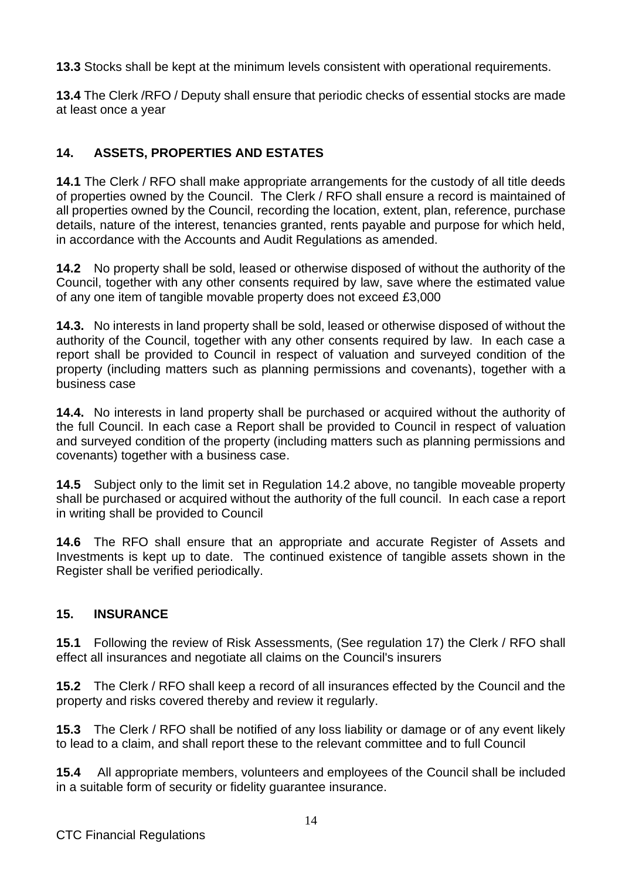**13.3** Stocks shall be kept at the minimum levels consistent with operational requirements.

**13.4** The Clerk /RFO / Deputy shall ensure that periodic checks of essential stocks are made at least once a year

# **14. ASSETS, PROPERTIES AND ESTATES**

**14.1** The Clerk / RFO shall make appropriate arrangements for the custody of all title deeds of properties owned by the Council. The Clerk / RFO shall ensure a record is maintained of all properties owned by the Council, recording the location, extent, plan, reference, purchase details, nature of the interest, tenancies granted, rents payable and purpose for which held, in accordance with the Accounts and Audit Regulations as amended.

**14.2** No property shall be sold, leased or otherwise disposed of without the authority of the Council, together with any other consents required by law, save where the estimated value of any one item of tangible movable property does not exceed £3,000

**14.3.** No interests in land property shall be sold, leased or otherwise disposed of without the authority of the Council, together with any other consents required by law. In each case a report shall be provided to Council in respect of valuation and surveyed condition of the property (including matters such as planning permissions and covenants), together with a business case

**14.4.** No interests in land property shall be purchased or acquired without the authority of the full Council. In each case a Report shall be provided to Council in respect of valuation and surveyed condition of the property (including matters such as planning permissions and covenants) together with a business case.

**14.5** Subject only to the limit set in Regulation 14.2 above, no tangible moveable property shall be purchased or acquired without the authority of the full council. In each case a report in writing shall be provided to Council

**14.6** The RFO shall ensure that an appropriate and accurate Register of Assets and Investments is kept up to date. The continued existence of tangible assets shown in the Register shall be verified periodically.

## **15. INSURANCE**

**15.1** Following the review of Risk Assessments, (See regulation 17) the Clerk / RFO shall effect all insurances and negotiate all claims on the Council's insurers

**15.2** The Clerk / RFO shall keep a record of all insurances effected by the Council and the property and risks covered thereby and review it regularly.

**15.3** The Clerk / RFO shall be notified of any loss liability or damage or of any event likely to lead to a claim, and shall report these to the relevant committee and to full Council

**15.4** All appropriate members, volunteers and employees of the Council shall be included in a suitable form of security or fidelity guarantee insurance.